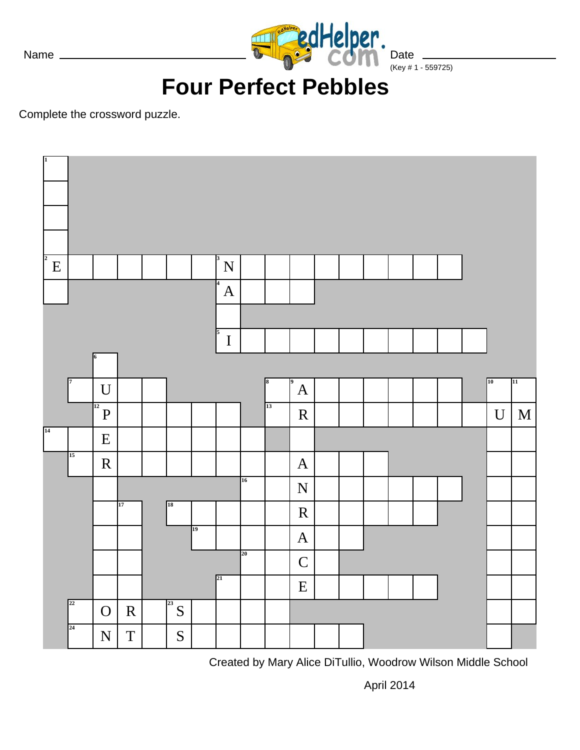

Date  $\frac{1}{(Key # 1 - 559725)}$ 

# **Four Perfect Pebbles**

Complete the crossword puzzle.



Created by Mary Alice DiTullio, Woodrow Wilson Middle School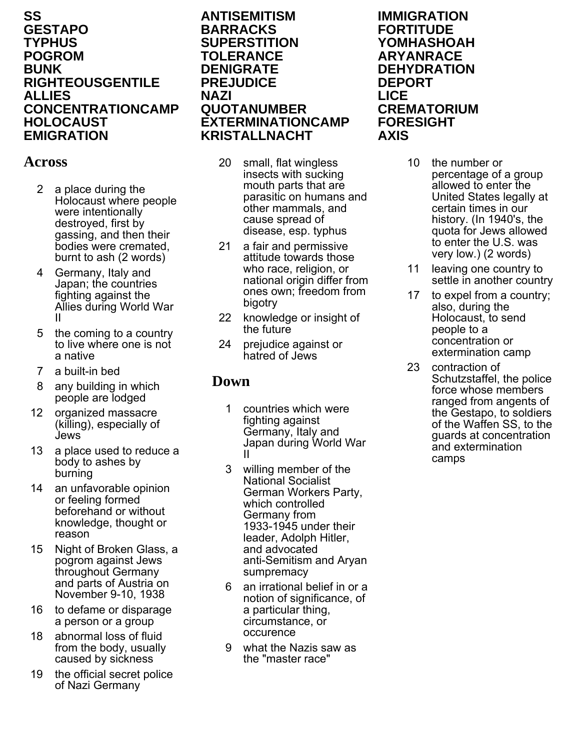### **SS GESTAPO TYPHUS POGROM BUNK RIGHTEOUSGENTILE ALLIES CONCENTRATIONCAMP HOLOCAUST EMIGRATION**

## **Across**

- 2 a place during the Holocaust where people were intentionally destroyed, first by gassing, and then their bodies were cremated, burnt to ash (2 words)
- 4 Germany, Italy and Japan; the countries fighting against the Allies during World War II
- 5 the coming to a country to live where one is not a native
- 7 a built-in bed
- 8 any building in which people are lodged
- 12 organized massacre (killing), especially of Jews
- 13 a place used to reduce a body to ashes by burning
- 14 an unfavorable opinion or feeling formed beforehand or without knowledge, thought or reason
- 15 Night of Broken Glass, a pogrom against Jews throughout Germany and parts of Austria on November 9-10, 1938
- 16 to defame or disparage a person or a group
- 18 abnormal loss of fluid from the body, usually caused by sickness
- 19 the official secret police of Nazi Germany

### **ANTISEMITISM BARRACKS SUPERSTITION TOLERANCE DENIGRATE PREJUDICE NAZI QUOTANUMBER EXTERMINATIONCAMP KRISTALLNACHT**

- 20 small, flat wingless insects with sucking mouth parts that are parasitic on humans and other mammals, and cause spread of disease, esp. typhus
- 21 a fair and permissive attitude towards those who race, religion, or national origin differ from ones own; freedom from bigotry
- 22 knowledge or insight of the future
- 24 prejudice against or hatred of Jews

## **Down**

- 1 countries which were fighting against Germany, Italy and Japan during World War II
- 3 willing member of the National Socialist German Workers Party, which controlled Germany from 1933-1945 under their leader, Adolph Hitler, and advocated anti-Semitism and Aryan sumpremacy
- 6 an irrational belief in or a notion of significance, of a particular thing, circumstance, or occurence
- 9 what the Nazis saw as the "master race"

### **IMMIGRATION FORTITUDE YOMHASHOAH ARYANRACE DEHYDRATION DEPORT LICE CREMATORIUM FORESIGHT AXIS**

- 10 the number or percentage of a group allowed to enter the United States legally at certain times in our history. (In 1940's, the quota for Jews allowed to enter the U.S. was very low.) (2 words)
- 11 leaving one country to settle in another country
- 17 to expel from a country; also, during the Holocaust, to send people to a concentration or extermination camp
- 23 contraction of Schutzstaffel, the police force whose members ranged from angents of the Gestapo, to soldiers of the Waffen SS, to the guards at concentration and extermination camps